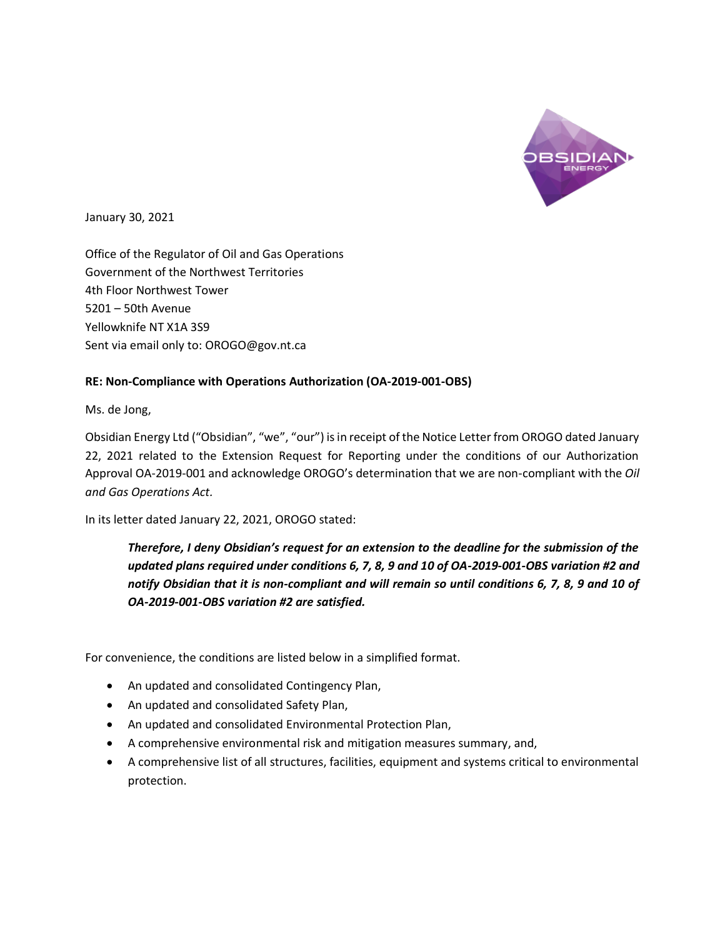

January 30, 2021

Office of the Regulator of Oil and Gas Operations Government of the Northwest Territories 4th Floor Northwest Tower 5201 – 50th Avenue Yellowknife NT X1A 3S9 Sent via email only to: OROGO@gov.nt.ca

## **RE: Non-Compliance with Operations Authorization (OA-2019-001-OBS)**

Ms. de Jong,

Obsidian Energy Ltd ("Obsidian", "we", "our") is in receipt of the Notice Letter from OROGO dated January 22, 2021 related to the Extension Request for Reporting under the conditions of our Authorization Approval OA-2019-001 and acknowledge OROGO's determination that we are non-compliant with the *Oil and Gas Operations Act.*

In its letter dated January 22, 2021, OROGO stated:

*Therefore, I deny Obsidian's request for an extension to the deadline for the submission of the updated plans required under conditions 6, 7, 8, 9 and 10 of OA-2019-001-OBS variation #2 and notify Obsidian that it is non-compliant and will remain so until conditions 6, 7, 8, 9 and 10 of OA-2019-001-OBS variation #2 are satisfied.*

For convenience, the conditions are listed below in a simplified format.

- An updated and consolidated Contingency Plan,
- An updated and consolidated Safety Plan,
- An updated and consolidated Environmental Protection Plan,
- A comprehensive environmental risk and mitigation measures summary, and,
- A comprehensive list of all structures, facilities, equipment and systems critical to environmental protection.